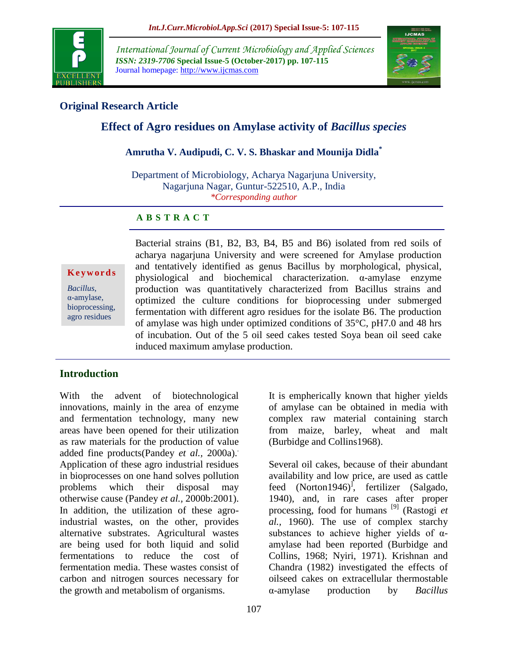

*International Journal of Current Microbiology and Applied Sciences ISSN: 2319-7706* **Special Issue-5 (October-2017) pp. 107-115** Journal homepage: http://www.ijcmas.com



# **Original Research Article**

# **Effect of Agro residues on Amylase activity of** *Bacillus species*

## **Amrutha V. Audipudi, C. V. S. Bhaskar and Mounija Didla\***

Department of Microbiology, Acharya Nagarjuna University, Nagarjuna Nagar, Guntur-522510, A.P., India *\*Corresponding author*

## **A B S T R A C T**

**K e y w o r d s**

*Bacillus*, α-amylase, bioprocessing, agro residues

Bacterial strains (B1, B2, B3, B4, B5 and B6) isolated from red soils of acharya nagarjuna University and were screened for Amylase production and tentatively identified as genus Bacillus by morphological, physical, physiological and biochemical characterization. α-amylase enzyme production was quantitatively characterized from Bacillus strains and optimized the culture conditions for bioprocessing under submerged fermentation with different agro residues for the isolate B6. The production of amylase was high under optimized conditions of 35°C, pH7.0 and 48 hrs of incubation. Out of the 5 oil seed cakes tested Soya bean oil seed cake induced maximum amylase production.

## **Introduction**

With the advent of biotechnological innovations, mainly in the area of enzyme and fermentation technology, many new areas have been opened for their utilization as raw materials for the production of value added fine products(Pandey *et al.*, 2000a). Application of these agro industrial residues in bioprocesses on one hand solves pollution problems which their disposal may otherwise cause (Pandey *et al.,* 2000b:2001). In addition, the utilization of these agroindustrial wastes, on the other, provides alternative substrates. Agricultural wastes are being used for both liquid and solid fermentations to reduce the cost of fermentation media. These wastes consist of carbon and nitrogen sources necessary for the growth and metabolism of organisms.

It is empherically known that higher yields of amylase can be obtained in media with complex raw material containing starch from maize, barley, wheat and malt (Burbidge and Collins1968).

Several oil cakes, because of their abundant availability and low price, are used as cattle feed (Norton1946)<sup>J</sup>, fertilizer (Salgado, 1940), and, in rare cases after proper processing, food for humans [9] (Rastogi *et al.,* 1960). The use of complex starchy substances to achieve higher yields of  $\alpha$ amylase had been reported (Burbidge and Collins, 1968; Nyiri, 1971). Krishnan and Chandra (1982) investigated the effects of oilseed cakes on extracellular thermostable α-amylase production by *Bacillus*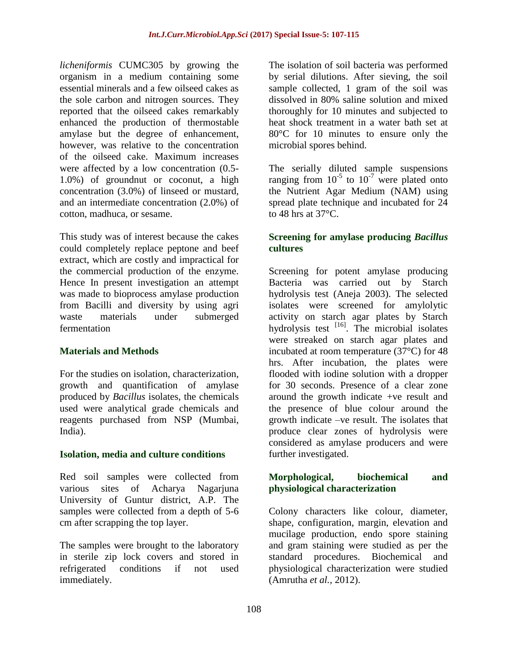*licheniformis* CUMC305 by growing the organism in a medium containing some essential minerals and a few oilseed cakes as the sole carbon and nitrogen sources. They reported that the oilseed cakes remarkably enhanced the production of thermostable amylase but the degree of enhancement, however, was relative to the concentration of the oilseed cake. Maximum increases were affected by a low concentration (0.5- 1.0%) of groundnut or coconut, a high concentration (3.0%) of linseed or mustard, and an intermediate concentration (2.0%) of cotton, madhuca, or sesame.

This study was of interest because the cakes could completely replace peptone and beef extract, which are costly and impractical for the commercial production of the enzyme. Hence In present investigation an attempt was made to bioprocess amylase production from Bacilli and diversity by using agri waste materials under submerged fermentation

## **Materials and Methods**

For the studies on isolation, characterization, growth and quantification of amylase produced by *Bacillus* isolates, the chemicals used were analytical grade chemicals and reagents purchased from NSP (Mumbai, India).

## **Isolation, media and culture conditions**

Red soil samples were collected from various sites of Acharya Nagarjuna University of Guntur district, A.P. The samples were collected from a depth of 5-6 cm after scrapping the top layer.

The samples were brought to the laboratory in sterile zip lock covers and stored in refrigerated conditions if not used immediately.

The isolation of soil bacteria was performed by serial dilutions. After sieving, the soil sample collected, 1 gram of the soil was dissolved in 80% saline solution and mixed thoroughly for 10 minutes and subjected to heat shock treatment in a water bath set at 80°C for 10 minutes to ensure only the microbial spores behind.

The serially diluted sample suspensions ranging from  $10^{-5}$  to  $10^{-7}$  were plated onto the Nutrient Agar Medium (NAM) using spread plate technique and incubated for 24 to 48 hrs at  $37^{\circ}$ C.

#### **Screening for amylase producing** *Bacillus*  **cultures**

Screening for potent amylase producing Bacteria was carried out by Starch hydrolysis test (Aneja 2003). The selected isolates were screened for amylolytic activity on starch agar plates by Starch hydrolysis test  $[16]$ . The microbial isolates were streaked on starch agar plates and incubated at room temperature (37°C) for 48 hrs. After incubation, the plates were flooded with iodine solution with a dropper for 30 seconds. Presence of a clear zone around the growth indicate +ve result and the presence of blue colour around the growth indicate –ve result. The isolates that produce clear zones of hydrolysis were considered as amylase producers and were further investigated.

## **Morphological, biochemical and physiological characterization**

Colony characters like colour, diameter, shape, configuration, margin, elevation and mucilage production, endo spore staining and gram staining were studied as per the standard procedures. Biochemical and physiological characterization were studied (Amrutha *et al.,* 2012).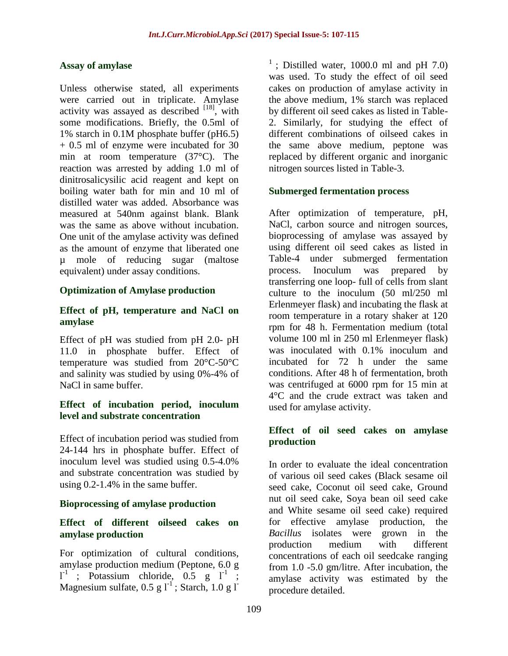#### **Assay of amylase**

Unless otherwise stated, all experiments were carried out in triplicate. Amylase activity was assayed as described  $[18]$ , with some modifications. Briefly, the 0.5ml of 1% starch in 0.1M phosphate buffer (pH6.5) + 0.5 ml of enzyme were incubated for 30 min at room temperature (37°C). The reaction was arrested by adding 1.0 ml of dinitrosalicysilic acid reagent and kept on boiling water bath for min and 10 ml of distilled water was added. Absorbance was measured at 540nm against blank. Blank was the same as above without incubation. One unit of the amylase activity was defined as the amount of enzyme that liberated one µ mole of reducing sugar (maltose equivalent) under assay conditions.

#### **Optimization of Amylase production**

#### **Effect of pH, temperature and NaCl on amylase**

Effect of pH was studied from pH 2.0- pH 11.0 in phosphate buffer. Effect of temperature was studied from 20°C-50°C and salinity was studied by using 0%-4% of NaCl in same buffer.

#### **Effect of incubation period, inoculum level and substrate concentration**

Effect of incubation period was studied from 24-144 hrs in phosphate buffer. Effect of inoculum level was studied using 0.5-4.0% and substrate concentration was studied by using 0.2-1.4% in the same buffer.

#### **Bioprocessing of amylase production**

#### **Effect of different oilseed cakes on amylase production**

For optimization of cultural conditions, amylase production medium (Peptone, 6.0 g  $l^1$ ; Potassium chloride, 0.5 g  $l^1$ ; Magnesium sulfate,  $0.5 \text{ g l}^{-1}$ ; Starch,  $1.0 \text{ g l}^{-1}$ 

<sup>1</sup>; Distilled water, 1000.0 ml and pH 7.0) was used. To study the effect of oil seed cakes on production of amylase activity in the above medium, 1% starch was replaced by different oil seed cakes as listed in Table-2. Similarly, for studying the effect of different combinations of oilseed cakes in the same above medium, peptone was replaced by different organic and inorganic nitrogen sources listed in Table-3.

#### **Submerged fermentation process**

After optimization of temperature, pH, NaCl, carbon source and nitrogen sources, bioprocessing of amylase was assayed by using different oil seed cakes as listed in Table-4 under submerged fermentation process. Inoculum was prepared by transferring one loop- full of cells from slant culture to the inoculum (50 ml/250 ml Erlenmeyer flask) and incubating the flask at room temperature in a rotary shaker at 120 rpm for 48 h. Fermentation medium (total volume 100 ml in 250 ml Erlenmeyer flask) was inoculated with 0.1% inoculum and incubated for 72 h under the same conditions. After 48 h of fermentation, broth was centrifuged at 6000 rpm for 15 min at 4°C and the crude extract was taken and used for amylase activity.

#### **Effect of oil seed cakes on amylase production**

In order to evaluate the ideal concentration of various oil seed cakes (Black sesame oil seed cake, Coconut oil seed cake, Ground nut oil seed cake, Soya bean oil seed cake and White sesame oil seed cake) required for effective amylase production, the *Bacillus* isolates were grown in the production medium with different concentrations of each oil seedcake ranging from 1.0 -5.0 gm/litre. After incubation, the amylase activity was estimated by the procedure detailed.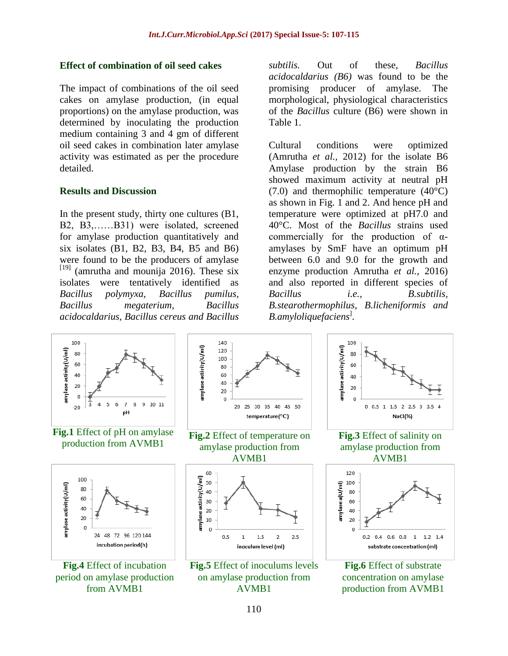#### **Effect of combination of oil seed cakes**

The impact of combinations of the oil seed cakes on amylase production, (in equal proportions) on the amylase production, was determined by inoculating the production medium containing 3 and 4 gm of different oil seed cakes in combination later amylase activity was estimated as per the procedure detailed.

#### **Results and Discussion**

In the present study, thirty one cultures (B1, B2, B3,……B31) were isolated, screened for amylase production quantitatively and six isolates (B1, B2, B3, B4, B5 and B6) were found to be the producers of amylase  $[19]$  (amrutha and mounija 2016). These six isolates were tentatively identified as *Bacillus polymyxa, Bacillus pumilus, Bacillus megaterium, Bacillus acidocaldarius, Bacillus cereus and Bacillus* 

*subtilis.* Out of these, *Bacillus acidocaldarius (B6)* was found to be the promising producer of amylase. The morphological, physiological characteristics of the *Bacillus* culture (B6) were shown in Table 1.

Cultural conditions were optimized (Amrutha *et al.,* 2012) for the isolate B6 Amylase production by the strain B6 showed maximum activity at neutral pH  $(7.0)$  and thermophilic temperature  $(40^{\circ}C)$ as shown in Fig. 1 and 2. And hence pH and temperature were optimized at pH7.0 and 40°C. Most of the *Bacillus* strains used commercially for the production of αamylases by SmF have an optimum pH between 6.0 and 9.0 for the growth and enzyme production Amrutha *et al.,* 2016) and also reported in different species of *Bacillus i.e., B.subtilis, B.stearothermophilus, B.licheniformis and B.amyloliquefaciens*] .



AVMB1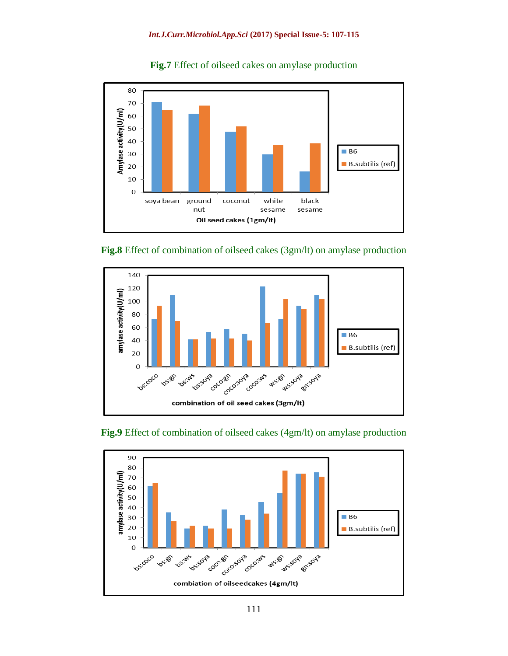

#### **Fig.7** Effect of oilseed cakes on amylase production





## **Fig.9** Effect of combination of oilseed cakes (4gm/lt) on amylase production

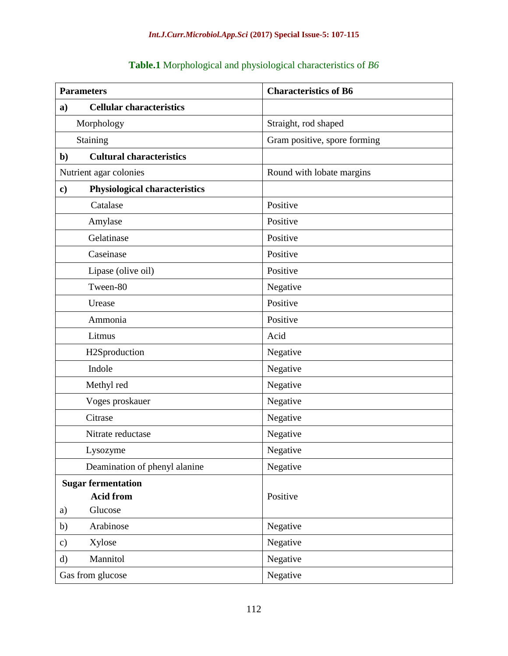# **Parameters Characteristics of B6 a) Cellular characteristics** Morphology Straight, rod shaped Staining Gram positive, spore forming **b) Cultural characteristics** Nutrient agar colonies Round with lobate margins **c) Physiological characteristics** Catalase Positive Amylase Positive Gelatinase Positive Caseinase Positive Lipase (olive oil) Positive Tween-80 Negative Urease Positive Ammonia Positive Litmus and Acid H2Sproduction Negative Indole Negative Methyl red Negative Voges proskauer Negative Citrase Negative Nitrate reductase Nitrate  $\log$ Lysozyme Negative Deamination of phenyl alanine Negative **Sugar fermentation Acid from**  a) Glucose Positive b) Arabinose Negative c) Xylose Negative d) Mannitol Negative Gas from glucose Negative

#### **Table.1** Morphological and physiological characteristics of *B6*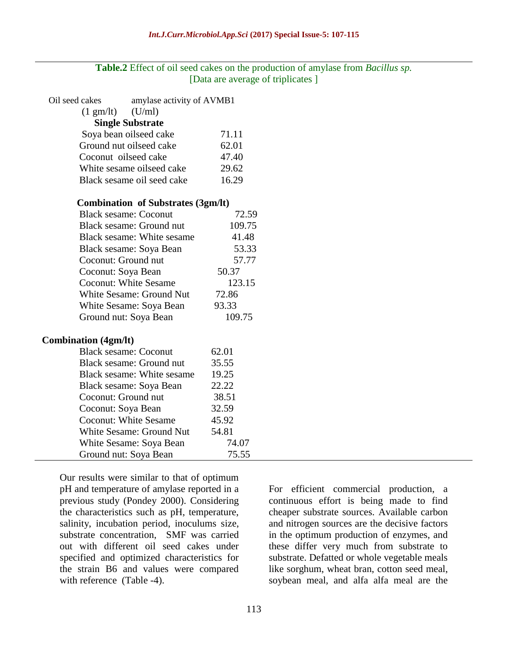## **Table.2** Effect of oil seed cakes on the production of amylase from *Bacillus sp.* [Data are average of triplicates ]

| Oil seed cakes                            | amylase activity of AVMB1  |        |
|-------------------------------------------|----------------------------|--------|
| $(1 \text{ gm/lt})$                       | (U/ml)                     |        |
| <b>Single Substrate</b>                   |                            |        |
| Soya bean oilseed cake                    |                            | 71.11  |
| Ground nut oilseed cake                   |                            | 62.01  |
| Coconut oilseed cake                      |                            | 47.40  |
| White sesame oilseed cake                 |                            | 29.62  |
| Black sesame oil seed cake                |                            | 16.29  |
| <b>Combination of Substrates (3gm/lt)</b> |                            |        |
| <b>Black sesame: Coconut</b>              |                            | 72.59  |
|                                           | Black sesame: Ground nut   |        |
| Black sesame: White sesame                |                            | 41.48  |
| Black sesame: Soya Bean                   |                            | 53.33  |
| Coconut: Ground nut                       |                            | 57.77  |
| Coconut: Soya Bean                        |                            | 50.37  |
| <b>Coconut: White Sesame</b>              |                            | 123.15 |
| White Sesame: Ground Nut                  |                            | 72.86  |
| White Sesame: Soya Bean                   |                            | 93.33  |
| Ground nut: Soya Bean                     |                            | 109.75 |
| <b>Combination (4gm/lt)</b>               |                            |        |
| <b>Black sesame: Coconut</b>              |                            | 62.01  |
|                                           | Black sesame: Ground nut   | 35.55  |
|                                           | Black sesame: White sesame | 19.25  |
| Black sesame: Soya Bean                   |                            | 22.22  |
| Coconut: Ground nut                       |                            | 38.51  |
| Coconut: Soya Bean                        |                            | 32.59  |
| <b>Coconut: White Sesame</b>              |                            | 45.92  |
| <b>White Sesame: Ground Nut</b>           |                            | 54.81  |
|                                           | White Sesame: Soya Bean    | 74.07  |
| Ground nut: Soya Bean                     |                            | 75.55  |

Our results were similar to that of optimum pH and temperature of amylase reported in a previous study (Pondey 2000). Considering the characteristics such as pH, temperature, salinity, incubation period, inoculums size, substrate concentration, SMF was carried out with different oil seed cakes under specified and optimized characteristics for the strain B6 and values were compared with reference (Table -4).

For efficient commercial production, a continuous effort is being made to find cheaper substrate sources. Available carbon and nitrogen sources are the decisive factors in the optimum production of enzymes, and these differ very much from substrate to substrate. Defatted or whole vegetable meals like sorghum, wheat bran, cotton seed meal, soybean meal, and alfa alfa meal are the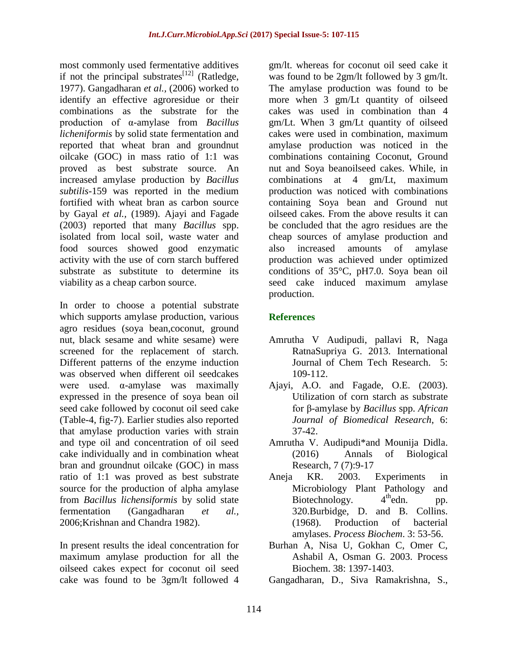most commonly used fermentative additives if not the principal substrates $^{[12]}$  (Ratledge, 1977). Gangadharan *et al.,* (2006) worked to identify an effective agroresidue or their combinations as the substrate for the production of α-amylase from *Bacillus licheniformis* by solid state fermentation and reported that wheat bran and groundnut oilcake (GOC) in mass ratio of 1:1 was proved as best substrate source. An increased amylase production by *Bacillus subtilis-*159 was reported in the medium fortified with wheat bran as carbon source by Gayal *et al.,* (1989). Ajayi and Fagade (2003) reported that many *Bacillus* spp. isolated from local soil, waste water and food sources showed good enzymatic activity with the use of corn starch buffered substrate as substitute to determine its viability as a cheap carbon source.

In order to choose a potential substrate which supports amylase production, various agro residues (soya bean,coconut, ground nut, black sesame and white sesame) were screened for the replacement of starch. Different patterns of the enzyme induction was observed when different oil seedcakes were used. α-amylase was maximally expressed in the presence of soya bean oil seed cake followed by coconut oil seed cake (Table-4, fig-7). Earlier studies also reported that amylase production varies with strain and type oil and concentration of oil seed cake individually and in combination wheat bran and groundnut oilcake (GOC) in mass ratio of 1:1 was proved as best substrate source for the production of alpha amylase from *Bacillus lichensiformis* by solid state fermentation (Gangadharan *et al.,* 2006;Krishnan and Chandra 1982).

In present results the ideal concentration for maximum amylase production for all the oilseed cakes expect for coconut oil seed cake was found to be 3gm/lt followed 4

gm/lt. whereas for coconut oil seed cake it was found to be 2gm/lt followed by 3 gm/lt. The amylase production was found to be more when 3 gm/Lt quantity of oilseed cakes was used in combination than 4 gm/Lt. When 3 gm/Lt quantity of oilseed cakes were used in combination, maximum amylase production was noticed in the combinations containing Coconut, Ground nut and Soya beanoilseed cakes. While, in combinations at 4 gm/Lt, maximum production was noticed with combinations containing Soya bean and Ground nut oilseed cakes. From the above results it can be concluded that the agro residues are the cheap sources of amylase production and also increased amounts of amylase production was achieved under optimized conditions of 35°C, pH7.0. Soya bean oil seed cake induced maximum amylase production.

# **References**

- Amrutha V Audipudi, pallavi R, Naga RatnaSupriya G. 2013. International Journal of Chem Tech Research. 5: 109-112.
- Ajayi, A.O. and Fagade, O.E. (2003). Utilization of corn starch as substrate for β-amylase by *Bacillus* spp. *African Journal of Biomedical Research*, 6: 37-42.
- Amrutha V. Audipudi\*and Mounija Didla. (2016) Annals of Biological Research, 7 (7):9-17
- Aneja KR. 2003. Experiments in Microbiology Plant Pathology and Biotechnology.  $4<sup>th</sup>$ edn. pp. 320.Burbidge, D. and B. Collins. (1968). Production of bacterial amylases. *Process Biochem*. 3: 53-56.
- Burhan A, Nisa U, Gokhan C, Omer C, Ashabil A, Osman G. 2003. Process Biochem. 38: 1397-1403.
- Gangadharan, D., Siva Ramakrishna, S.,